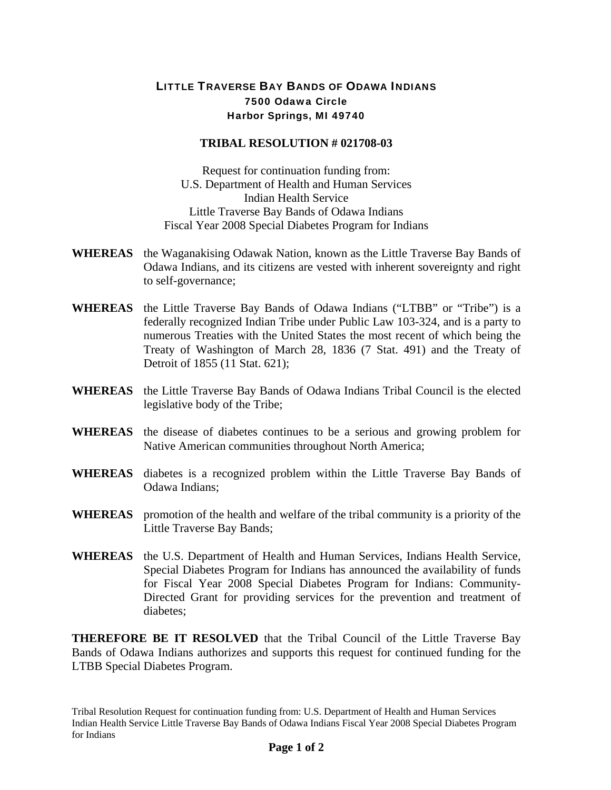## LITTLE TRAVERSE BAY BANDS OF ODAWA INDIANS 7500 Odawa Circle Harbor Springs, MI 49740

## **TRIBAL RESOLUTION # 021708-03**

Request for continuation funding from: U.S. Department of Health and Human Services Indian Health Service Little Traverse Bay Bands of Odawa Indians Fiscal Year 2008 Special Diabetes Program for Indians

- **WHEREAS** the Waganakising Odawak Nation, known as the Little Traverse Bay Bands of Odawa Indians, and its citizens are vested with inherent sovereignty and right to self-governance;
- **WHEREAS** the Little Traverse Bay Bands of Odawa Indians ("LTBB" or "Tribe") is a federally recognized Indian Tribe under Public Law 103-324, and is a party to numerous Treaties with the United States the most recent of which being the Treaty of Washington of March 28, 1836 (7 Stat. 491) and the Treaty of Detroit of 1855 (11 Stat. 621);
- **WHEREAS** the Little Traverse Bay Bands of Odawa Indians Tribal Council is the elected legislative body of the Tribe;
- **WHEREAS** the disease of diabetes continues to be a serious and growing problem for Native American communities throughout North America;
- **WHEREAS** diabetes is a recognized problem within the Little Traverse Bay Bands of Odawa Indians;
- **WHEREAS** promotion of the health and welfare of the tribal community is a priority of the Little Traverse Bay Bands;
- **WHEREAS** the U.S. Department of Health and Human Services, Indians Health Service, Special Diabetes Program for Indians has announced the availability of funds for Fiscal Year 2008 Special Diabetes Program for Indians: Community-Directed Grant for providing services for the prevention and treatment of diabetes;

**THEREFORE BE IT RESOLVED** that the Tribal Council of the Little Traverse Bay Bands of Odawa Indians authorizes and supports this request for continued funding for the LTBB Special Diabetes Program.

Tribal Resolution Request for continuation funding from: U.S. Department of Health and Human Services Indian Health Service Little Traverse Bay Bands of Odawa Indians Fiscal Year 2008 Special Diabetes Program for Indians